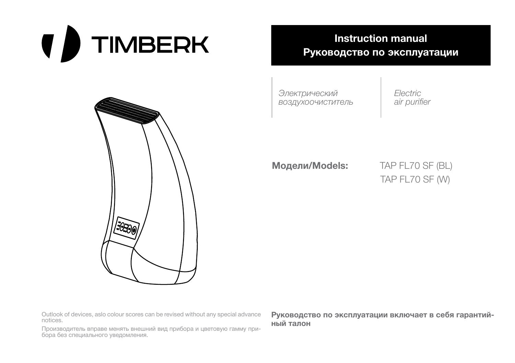**( )** TIMBERK



**Instruction manual Руководство по эксплуатации**

*Электрический воздухоочиститель* *Electric air purifier*

**Модели/Models:** TAP FL70 SF (BL)

TAP FL70 SF (W)

Outlook of devices, aslo colour scores can be revised without any special advance notices.

Производитель вправе менять внешний вид прибора и цветовую гамму прибора без специального уведомления.

**Руководство по эксплуатации включает в себя гарантийный талон**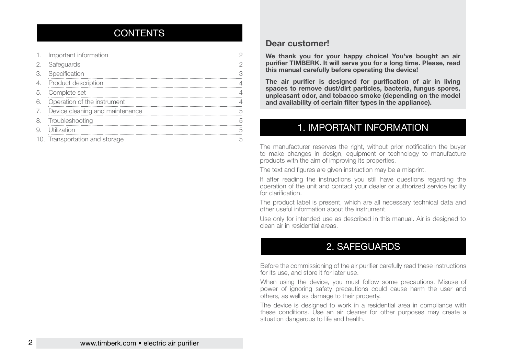## CONTENTS

|     | Important information           |   |
|-----|---------------------------------|---|
| 2.  | Safeguards                      |   |
| 3.  | Specification                   |   |
| 4.  | Product description             |   |
| .5. | Complete set                    |   |
| 6.  | Operation of the instrument     |   |
| 7.  | Device cleaning and maintenance |   |
| 8.  | Troubleshooting                 |   |
| 9.  | Utilization                     |   |
|     | 10. Transportation and storage  | Ҕ |
|     |                                 |   |

#### **Dear customer!**

**We thank you for your happy choice! You've bought an air purifier TIMBERK. It will serve you for a long time. Please, read this manual carefully before operating the device!**

**The air purifier is designed for purification of air in living spaces to remove dust/dirt particles, bacteria, fungus spores, unpleasant odor, and tobacco smoke (depending on the model and availability of certain filter types in the appliance).**

## 1. IMPORTANT INFORMATION

The manufacturer reserves the right, without prior notification the buyer to make changes in design, equipment or technology to manufacture products with the aim of improving its properties.

The text and figures are given instruction may be a misprint.

If after reading the instructions you still have questions regarding the operation of the unit and contact your dealer or authorized service facility for clarification.

The product label is present, which are all necessary technical data and other useful information about the instrument.

Use only for intended use as described in this manual. Air is designed to clean air in residential areas.

## 2. SAFEGUARDS

Before the commissioning of the air purifier carefully read these instructions for its use, and store it for later use.

When using the device, you must follow some precautions. Misuse of power of ignoring safety precautions could cause harm the user and others, as well as damage to their property.

The device is designed to work in a residential area in compliance with these conditions. Use an air cleaner for other purposes may create a situation dangerous to life and health.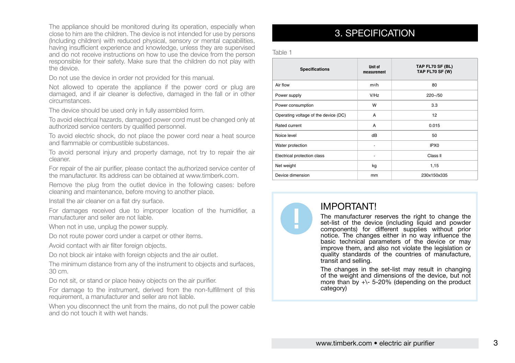The appliance should be monitored during its operation, especially when close to him are the children. The device is not intended for use by persons (Including children) with reduced physical, sensory or mental capabilities, having insufficient experience and knowledge, unless they are supervised and do not receive instructions on how to use the device from the person responsible for their safety. Make sure that the children do not play with the device.

Do not use the device in order not provided for this manual.

Not allowed to operate the appliance if the power cord or plug are damaged, and if air cleaner is defective, damaged in the fall or in other circumstances.

The device should be used only in fully assembled form.

To avoid electrical hazards, damaged power cord must be changed only at authorized service centers by qualified personnel.

To avoid electric shock, do not place the power cord near a heat source and flammable or combustible substances.

To avoid personal injury and property damage, not try to repair the air cleaner.

For repair of the air purifier, please contact the authorized service center of the manufacturer. Its address can be obtained at www.timberk.com.

Remove the plug from the outlet device in the following cases: before cleaning and maintenance, before moving to another place.

Install the air cleaner on a flat dry surface.

For damages received due to improper location of the humidifier, a manufacturer and seller are not liable.

When not in use, unplug the power supply.

Do not route power cord under a carpet or other items.

Avoid contact with air filter foreign objects.

Do not block air intake with foreign objects and the air outlet.

The minimum distance from any of the instrument to objects and surfaces, 30 cm.

Do not sit, or stand or place heavy objects on the air purifier.

For damage to the instrument, derived from the non-fulfillment of this requirement, a manufacturer and seller are not liable.

When you disconnect the unit from the mains, do not pull the power cable and do not touch it with wet hands.

## 3. SPECIFICATION

Table 1

| <b>Specifications</b>                | Unit of<br>measurement | TAP FL70 SF (BL)<br><b>TAP FL70 SF (W)</b> |
|--------------------------------------|------------------------|--------------------------------------------|
| Air flow                             | m <sup>3</sup> /h      | 80                                         |
| Power supply                         | V/Hz                   | $220 - 50$                                 |
| Power consumption                    | W                      | 3.3                                        |
| Operating voltage of the device (DC) | A                      | 12                                         |
| Rated current                        | A                      | 0.015                                      |
| Noice level                          | dB                     | 50                                         |
| Water protection                     | ٠                      | IPX <sub>0</sub>                           |
| Electrical protection class          | ٠                      | Class II                                   |
| Net weight                           | kg                     | 1,15                                       |
| Device dimension                     | mm                     | 230x150x335                                |



## IMPORTANT!

The manufacturer reserves the right to change the set-list of the device (including liquid and powder components) for different supplies without prior notice. The changes either in no way influence the basic technical parameters of the device or may improve them, and also not violate the legislation or quality standards of the countries of manufacture, transit and selling.

The changes in the set-list may result in changing of the weight and dimensions of the device, but not more than by  $+\$ - 5-20% (depending on the product category)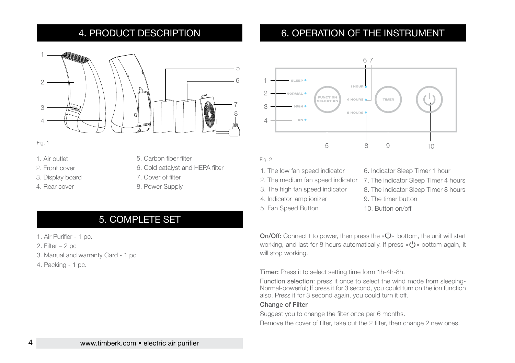## 4. PRODUCT DESCRIPTION

## 1  $\mathfrak{D}$ 5 6 7 8 3 4

Fig. 1

- 1. Air outlet
- 2. Front cover
- 3. Display board
- 4. Rear cover
- 5. Carbon fiber filter
- 6. Cold catalyst and HEPA filter
- 7. Cover of filter
- 8. Power Supply

## 5. COMPLETE SET

- 1. Air Purifier 1 pc.
- 2. Filter 2 pc
- 3. Manual and warranty Card 1 pc
- 4. Packing 1 pc.

## 6. OPERATION OF THE INSTRUMENT



#### Fig. 2

- 1. The low fan speed indicator
- 2. The medium fan speed indicator
- 3. The high fan speed indicator
- 4. Indicator lamp ionizer
- 5. Fan Speed Button

6. Indicator Sleep Timer 1 hour 7. The indicator Sleep Timer 4 hours 8. The indicator Sleep Timer 8 hours 9. The timer button 10. Button on/off

On/Off: Connect t to power, then press the  $\langle \mathbf{U} \rangle$  bottom, the unit will start working, and last for 8 hours automatically. If press  $\langle \bigcup_{n=1}^{\infty} S_n \rangle$  bottom again, it will stop working.

Timer: Press it to select setting time form 1h-4h-8h.

Function selection: press it once to select the wind mode from sleeping-Normal-powerful; If press it for 3 second, you could turn on the ion function also. Press it for 3 second again, you could turn it off.

#### Change of Filter

Suggest you to change the filter once per 6 months.

Remove the cover of filter, take out the 2 filter, then change 2 new ones.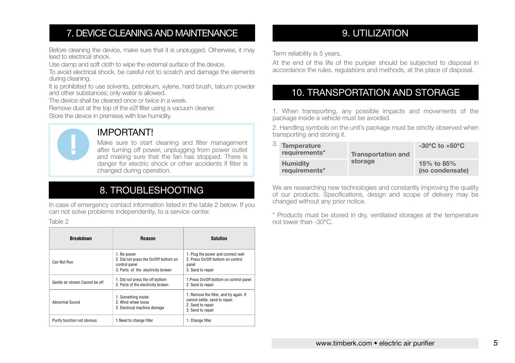## 7. DEVICE CLEANING AND MAINTENANCE

Before cleaning the device, make sure that it is unplugged. Otherwise, it may lead to electrical shock.

Use damp and soft cloth to wipe the external surface of the device.

To avoid electrical shock, be careful not to scratch and damage the elements during cleaning.

It is prohibited to use solvents, petroleum, xylene, hard brush, talcum powder and other substances; only water is allowed.

The device shall be cleaned once or twice in a week.

Remove dust at the top of the e2f filter using a vacuum cleaner. Store the device in premises with low humidity.



## IMPORTANT!

Make sure to start cleaning and filter management after turning off power, unplugging from power outlet and making sure that the fan has stopped. There is danger for electric shock or other accidents if filter is changed during operation.

## 8. TROUBLESHOOTING

In case of emergency contact information listed in the table 2 below. If you can not solve problems independently, to a service center.

#### Table 2

| <b>Breakdown</b>                | <b>Reason</b>                                                                                               | <b>Solution</b>                                                                                                     |  |  |
|---------------------------------|-------------------------------------------------------------------------------------------------------------|---------------------------------------------------------------------------------------------------------------------|--|--|
| Can Not Run                     | 1. No power<br>2. Did not press the On/Off bottom on<br>control panel<br>3. Parts of the electricity broken | 1. Plug the power and connect well<br>2. Press On/Off bottom on control<br>panel<br>3. Send to repair               |  |  |
| Gentle air stream Cannot be off | 1. Did not press the off bottom<br>2. Parts of the electricity broken                                       | 1. Press On/Off bottom on control panel<br>2. Send to repair                                                        |  |  |
| Abnormal Sound                  | 1. Something inside<br>2. Wind wheel loose<br>3. Electrical machine damage                                  | 1. Remove the filter, and try again. If<br>cannot settle, send to repair.<br>2. Send to repair<br>3. Send to repair |  |  |
| Purify function not obvious     | 1.Need to change filter                                                                                     | 1. Change filter                                                                                                    |  |  |

## 9. UTILIZATION

Term reliability is 5 years.

At the end of the life of the puripier should be subjected to disposal in accordance the rules, regulations and methods, at the place of disposal.

## 10. TRANSPORTATION AND STORAGE

1. When transporting, any possible impacts and movements of the package inside a vehicle must be avoided.

2. Handling symbols on the unit's package must be strictly observed when transporting and storing it.

| 3. Temperature<br>requirements*  | <b>Transportation and</b> | $-30^{\circ}$ C to $+50^{\circ}$ C |  |
|----------------------------------|---------------------------|------------------------------------|--|
| <b>Humidity</b><br>requirements* | storage                   | 15% to 85%<br>(no condensate)      |  |

We are researching new technologies and constantly improving the quality of our products. Specifications, design and scope of delivery may be changed without any prior notice.

\* Products must be stored in dry, ventilated storages at the temperature not lower than -30°C.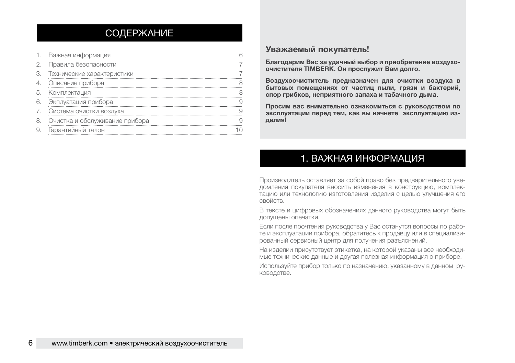## СОДЕРЖАНИЕ

|    | Важная информация              |  |
|----|--------------------------------|--|
|    | Правила безопасности           |  |
|    | Технические характеристики     |  |
|    | Описание прибора               |  |
| 5  | Комплектация                   |  |
| 6. | Экплуатация прибора            |  |
|    | Система очистки воздуха        |  |
|    | Очистка и обслуживание прибора |  |
|    | Гарантийный талон              |  |

#### **Уважаемый покупатель!**

**Благодарим Вас за удачный выбор и приобретение воздухоочистителя ТIMBERK. Он прослужит Вам долго.**

**Воздухоочиститель предназначен для очистки воздуха в бытовых помещениях от частиц пыли, грязи и бактерий, спор грибков, неприятного запаха и табачного дыма.** 

**Просим вас внимательно ознакомиться с руководством по эксплуатации перед тем, как вы начнете эксплуатацию изделия!**

## 1. ВАЖНАЯ ИНФОРМАЦИЯ

Производитель оставляет за собой право без предварительного уведомления покупателя вносить изменения в конструкцию, комплектацию или технологию изготовления изделия с целью улучшения его свойств.

В тексте и цифровых обозначениях данного руководства могут быть допущены опечатки.

Если после прочтения руководства у Вас останутся вопросы по работе и эксплуатации прибора, обратитесь к продавцу или в специализированный сервисный центр для получения разъяснений.

На изделии присутствует этикетка, на которой указаны все необходимые технические данные и другая полезная информация о приборе.

Используйте прибор только по назначению, указанному в данном руководстве.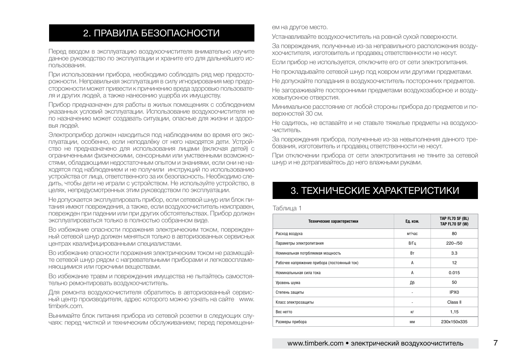## ем на другое место.<br>
2. ПРАВИЛА БЕЗОПАСНОСТИ

Перед вводом в эксплуатацию воздухоочистителя внимательно изучите данное руководство по эксплуатации и храните его для дальнейшего использования.

При использовании прибора, необходимо соблюдать ряд мер предосторожности. Неправильная эксплуатация в силу игнорирования мер предосторожности может привести к причинению вреда здоровью пользователя и других людей, а также нанесению ущерба их имуществу.

Прибор предназначен для работы в жилых помещениях с соблюдением указанных условий эксплуатации. Использование воздухоочистителя не по назначению может создавать ситуации, опасные для жизни и здоровья людей.

Электроприбор должен находиться под наблюдением во время его эксплуатации, особенно, если неподалёку от него находятся дети. Устройство не предназначено для использования лицами (включая детей) с ограниченными физическими, сенсорными или умственными возможностями, обладающими недостаточным опытом и знаниями, если они не находятся под наблюдением и не получили инструкций по использованию устройства от лица, ответственного за их безопасность. Необходимо следить, чтобы дети не играли с устройством. Не используйте устройство, в целях, непредусмотренных этим руководством по эксплуатации.

Не допускается эксплуатировать прибор, если сетевой шнур или блок питания имеют повреждения, а также, если воздухоочиститель неисправен, поврежден при падении или при других обстоятельствах. Прибор должен эксплуатироваться только в полностью собранном виде.

Во избежание опасности поражения электрическим током, поврежденный сетевой шнур должен меняться только в авторизованных сервисных центрах квалифицированными специалистами.

Во избежание опасности поражения электрическим током не размещайте сетевой шнур рядом с нагревательными приборами и легковоспламеняющимися или горючими веществами.

Во избежание травм и повреждения имущества не пытайтесь самостоятельно ремонтировать воздухоочиститель.

Для ремонта воздухоочистителя обратитесь в авторизованный сервисный центр производителя, адрес которого можно узнать на сайте www. timberk.com.

Вынимайте блок питания прибора из сетевой розетки в следующих случаях: перед чисткой и техническим обслуживанием; перед перемещени-

Устанавливайте воздухоочиститель на ровной сухой поверхности.

За повреждения, полученные из-за неправильного расположения воздухоочистителя, изготовитель и продавец ответственности не несут.

Если прибор не используется, отключите его от сети электропитания.

Не прокладывайте сетевой шнур под ковром или другими предметами.

Не допускайте попадания в воздухоочиститель посторонних предметов. Не загораживайте посторонними предметами воздухозаборное и воздуховыпускное отверстия.

Минимальное расстояние от любой стороны прибора до предметов и поверхностей 30 см.

Не садитесь, не вставайте и не ставьте тяжелые предметы на воздухоочиститель.

За повреждения прибора, полученные из-за невыполнения данного требования, изготовитель и продавец ответственности не несут.

При отключении прибора от сети электропитания не тяните за сетевой шнур и не дотрагивайтесь до него влажными руками.

## 3. ТЕХНИЧЕСКИЕ ХАРАКТЕРИСТИКИ

#### Таблица 1

| Технические характеристики                  | Ед. изм.                 | TAP FL70 SF (BL)<br>TAP FL70 SF (W) |
|---------------------------------------------|--------------------------|-------------------------------------|
| Расход воздуха                              | мз/час                   | 80                                  |
| Параметры электропитания                    | B/Tu                     | $220 - 50$                          |
| Номинальная потрбляемая мощность            | Rт                       | 3.3                                 |
| Рабочее напряжение прибора (постоянный ток) | A                        | 12                                  |
| Номинальныная сила тока                     | A                        | 0.015                               |
| Уровень шума                                | Дб                       | 50                                  |
| Степень защиты                              | $\overline{\phantom{a}}$ | IPX <sub>0</sub>                    |
| Класс электрозащиты                         | $\overline{\phantom{a}}$ | Class II                            |
| Вес нетто                                   | KГ                       | 1.15                                |
| Размеры прибора                             | MM                       | 230x150x335                         |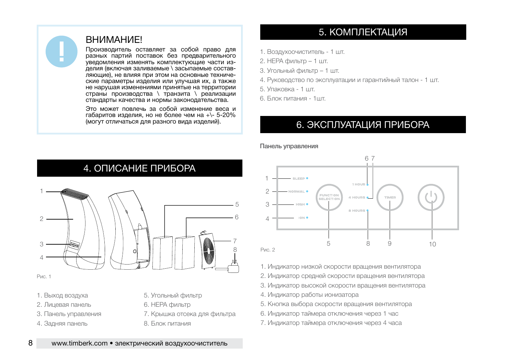## **ВНИМАНИЕ!**

Производитель оставляет за собой право для разных партий поставок без предварительного уведомления изменять комплектующие части изделия (включая заливаемые \ засыпаемые составляющие), не влияя при этом на основные технические параметры изделия или улучшая их, а также не нарушая изменениями принятые на территории страны производства \ транзита \ реализации стандарты качества и нормы законодательства.

Это может повлечь за собой изменение веса и габаритов изделия, но не более чем на +\- 5-20% (могут отличаться для разного вида изделий).

## 5. КОМПЛЕКТАЦИЯ

- 1. Воздухоочиститель 1 шт.
- 2. НЕРА фильтр 1 шт.
- 3. Угольный фильтр 1 шт.
- 4. Руководство по эксплуатации и гарантийный талон 1 шт.
- 5. Упаковка 1 шт.
- 6. Блок питания 1шт.

## 6. ЭКСПЛУАТАЦИЯ ПРИБОРА

Панель управления



4. ОПИСАНИЕ ПРИБОРА

Рис. 1

- 1. Выход воздуха
- 2. Лицевая панель
- 3. Панель управления
- 4. Задняя панель
- 5. Угольный фильтр
- 6. HEPA фильтр
- 7. Крышка отсека для фильтра
- 8. Блок питания



1. Индикатор низкой скорости вращения вентилятора

- 2. Индикатор средней скорости вращения вентилятора
- 3. Индикатор высокой скорости вращения вентилятора
- 4. Индикатор работы ионизатора
- 5. Кнопка выбора скорости вращения вентилятора
- 6. Индикатор таймера отключения через 1 час
- 7. Индикатор таймера отключения через 4 часа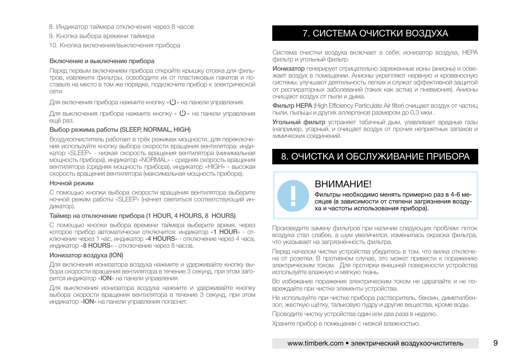- 
- 9. Кнопка выбора времени таймера
- 10. Кнопка включения/выключения прибора

#### Включение и выключение прибора

Перед первым включением прибора откройте крышку отсека для фильтров, извлеките фильтры, освободите их от пластиковых пакетов и поставьте на место в том же порядке, подключите прибор к электрической сети.

Для включения прибора нажмите кнопку « $\bigcup$ » на панели управления.

Для выключения прибора нажмите кнопку « $\mathbb U$ » на панели управления ещё раз.

#### Выбор режима работы (SLEEP, NORMAL, HIGH)

Воздухоочиститель работает в трёх режимах мощности, для переключения используйте кнопку выбора скорости вращения вентилятора: индикатор «SLEEP» - низкая скорость вращения вентилятора (минимальная мощность прибора), индикатор «NORMAL» - средняя скорость вращения вентилятора (средняя мощность прибора), индикатор «HIGH» - высокая скорость вращения вентилятора (максимальная мощность прибора).

#### Ночной режим

С помощью кнопки выбора скорости вращения вентилятора выберите ночной режим работы «SLEEP» (начнет светиться соответствующий индикатор).

#### Таймер на отключение прибора (1 HOUR, 4 HOURS, 8 HOURS)

С помощью кнопки выбора времени таймера выберите время, через которое прибор автоматически отключится: индикатор «1 HOUR» - отключение через 1 час, индикатор «4 HOURS» - отключение через 4 часа, индикатор «8 HOURS» - отключение через 8 часов.

#### Ионизатор воздуха (ION)

Для включения ионизатора воздуха нажмите и удерживайте кнопку выбора скорости вращения вентилятора в течение 3 секунд, при этом загорится индикатор «ION» на панели управления.

Для выключения ионизатора воздуха нажмите и удерживайте кнопку выбора скорости вращения вентилятора в течение 3 секунд, при этом индикатор «ION» на панели управления погаснет.

# **8. Индикатор таймера отключения через 8 часов<br>В Индикатор таймера отключения через 8 часов Маркетон В. В. В. В. СИСТЕМА ОЧИСТКИ ВОЗДУХА**

Система очистки воздуха включает в себя: ионизатор воздуха, HEPA фильтр и угольный фильтр.

Ионизатор генерирует отрицательно заряженные ионы (анионы) и освежает воздух в помещении. Анионы укрепляют нервную и кровеносную системы, улучшают деятельность легких и служат эффективной защитой от респираторных заболеваний (таких как астма и пневмония). Анионы очищают воздух от пыли и дыма.

Фильтр HEPA (High Efficiency Particulate Air filter) очищает воздух от частиц пыли, пыльцы и других аллергенов размером до 0,3 мкм .

Угольный фильтр устраняет табачный дым, улавливает вредные газы (например, угарный, и очищает воздух от прочих неприятных запахов и химических соединений.

## 8. ОЧИСТКА И ОБСЛУЖИВАНИЕ ПРИБОРА

### **ВНИМАНИЕ!**

Фильтры необходимо менять примерно раз в 4-6 месяцев (в зависимости от степени загрязнения воздуха и частоты использования прибора).

Произведите замену фильтров при наличии следующих проблем: поток воздуха стал слабее, а шум увеличился, изменилась окраска фильтра, что указывает на загрязнённость фильтра.

Перед началом чистки устройства убедитесь в том, что вилка отключена от розетки. В противном случае, это может привести к поражению электрическим током. Для протирки внешней поверхности устройства используйте влажную и мягкую ткань.

Во избежание поражения электрическим током не царапайте и не повреждайте при чистке элементы устройства.

Не используйте при чистке прибора растворитель, бензин, диметилбензол, жесткую щётку, тальковую пудру и другие вещества, кроме воды.

Проводите чистку устройства один или два раза в неделю.

Храните прибор в помещении с низкой влажностью.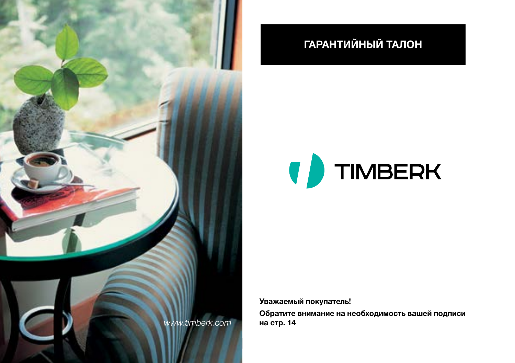

# **ГАРАНТИЙНЫЙ ТАЛОН**



**Уважаемый покупатель!**

**Обратите внимание на необходимость вашей подписи на стр. 14**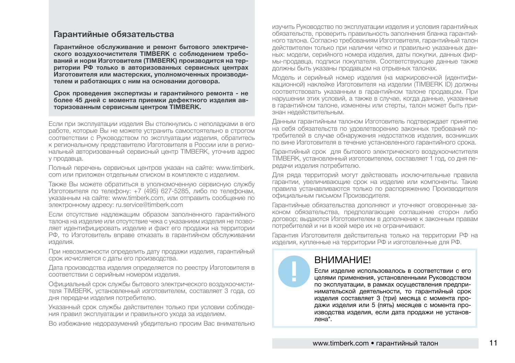#### **Гарантийные обязательства**

**Гарантийное обслуживание и ремонт бытового электрического воздухоочистителя TIMBERK с соблюдением требований и норм Изготовителя (TIMBERK) производится на территории РФ только в авторизованных сервисных центрах Изготовителя или мастерских, уполномоченных производителем и работающих с ним на основании договора.**

**Срок проведения экспертизы и гарантийного ремонта - не более 45 дней с момента приемки дефектного изделия авторизованным сервисным центром TIMBERK.**

Если при эксплуатации изделия Вы столкнулись с неполадками в его работе, которые Вы не можете устранить самостоятельно в строгом соответствии с Руководством по эксплуатации изделия, обратитесь к региональному представителю Изготовителя в России или в региональный авторизованный сервисный центр TIMBERK, уточнив адрес у продавца.

Полный перечень сервисных центров указан на сайте: www.timberk. com или приложен отдельным списком в комплекте с изделием.

Также Вы можете обратиться в уполномоченную сервисную службу Изготовителя по телефону: +7 (495) 627-5285, либо по телефонам, указанным на сайте: www.timberk.com, или отправить сообщение по электронному адресу: ru.service@timberk.com

Если отсутствие надлежащим образом заполненного гарантийного талона на изделие или отсутствие чека с указанием изделия не позволяет идентифицировать изделие и факт его продажи на территории РФ, то Изготовитель вправе отказать в гарантийном обслуживании изделия.

При невозможности определить дату продажи изделия, гарантийный срок исчисляется с даты его производства.

Дата производства изделия определяется по реестру Изготовителя в соответствии с серийным номером изделия.

Официальный срок службы бытового электрического воздухоочистителя TIMBERK, установленный изготовителем, составляет 3 года, со дня передачи изделия потребителю.

Указанный срок службы действителен только при условии соблюдения правил эксплуатации и правильного ухода за изделием.

Во избежание недоразумений убедительно просим Вас внимательно

изучить Руководство по эксплуатации изделия и условия гарантийных обязательств, проверить правильность заполнения бланка гарантийного талона. Согласно требованиям Изготовителя, гарантийный талон действителен только при наличии четко и правильно указанных данных: модели, серийного номера изделия, даты покупки, данных фирмы-продавца, подписи покупателя. Соответствующие данные также должны быть указаны продавцом на отрывных талонах.

Модель и серийный номер изделия (на маркировочной (идентификационной) наклейке Изготовителя на изделии (TIMBERK ID) должны соответствовать указанным в гарантийном талоне продавцом. При нарушении этих условий, а также в случае, когда данные, указанные в гарантийном талоне, изменены или стерты, талон может быть признан недействительным.

Данным гарантийным талоном Изготовитель подтверждает принятие на себя обязательств по удовлетворению законных требований потребителей в случае обнаружения недостатков изделия, возникших по вине Изготовителя в течение установленного гарантийного срока.

Гарантийный срок для бытового электрического воздухоочистителя TIMBERK, установленный изготовителем, составляет 1 год, со дня передачи изделия потребителю.

Для ряда территорий могут действовать исключительные правила гарантии, увеличивающие срок на изделие или компоненты. Такие правила устанавливаются только по распоряжению Производителя официальным письмом Производителя.

Гарантийные обязательства дополняют и уточняют оговоренные законом обязательства, предполагающие соглашение сторон либо договор; выдаются Изготовителем в дополнение к законным правам потребителей и ни в коей мере их не ограничивают.

Гарантия Изготовителя действительна только на территории РФ на изделия, купленные на территории РФ и изготовленные для РФ.

## ВНИМАНИЕ!

Если изделие использовалось в соответствии с его целями применения, установленными Руководством по эксплуатации, в рамках осуществления предпринимательской деятельности, то гарантийный срок изделия составляет 3 (три) месяца с момента продажи изделия или 5 (пять) месяцев с момента производства изделия, если дата продажи не установлена\*.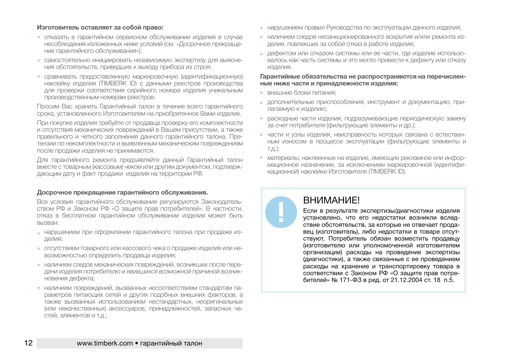#### **Изготовитель оставляет за собой право:**

- отказать в гарантийном сервисном обслуживании изделия в случае несоблюдения изложенных ниже условий (cм. «Досрочное прекращение гарантийного обслуживания»);
- самостоятельно инициировать независимую экспертизу для выяснения обстоятельств, приведших к выходу прибора из строя;
- сравнивать предоставленную маркировочную (идентификационную) наклейку изделия (TIMBERK ID) с данными реестров производства для проверки соответствия серийного номера изделия уникальным производственным номерам реестров.

Просим Вас хранить Гарантийный талон в течение всего гарантийного срока, установленного Изготовителем на приобретенное Вами изделие.

При покупке изделия требуйте от продавца проверку его комплектности и отсутствия механических повреждений в Вашем присутствии, а также правильного и четкого заполнения данного гарантийного талона. Претензии по некомплектности и выявленным механическим повреждениям после продажи изделия не принимаются.

Для гарантийного ремонта предъявляйте данный Гарантийный талон вместе с товарным (кассовым) чеком или другим документом, подтверждающим дату и факт продажи изделия на территории РФ.

#### **Досрочное прекращение гарантийного обслуживания.**

Все условия гарантийного обслуживания регулируются Законодательством РФ и Законом РФ «О защите прав потребителей». В частности, отказ в бесплатном гарантийном обслуживании изделия может быть вызван:

- нарушением при оформлении гарантийного талона при продаже изделия;
- отсутствием товарного или кассового чека о продаже изделия или невозможностью определить продавца изделия;
- наличием следов механических повреждений, возникших после передачи изделия потребителю и явившихся возможной причиной возникновения дефекта;
- наличием повреждений, вызванных несоответствием стандартам параметров питающих сетей и других подобных внешних факторов, а также вызванных использованием нестандартных, неоригинальных (или некачественных) аксессуаров, принадлежностей, запасных частей, элементов и т.д.;
- нарушением правил Руководства по эксплуатации данного изделия;
- наличием следов несанкционированного вскрытия и/или ремонта изделия, повлекших за собой отказ в работе изделия;
- дефектом или отказом системы или ее части, где изделие использовалось как часть системы и это могло привести к дефекту или отказу изделия.

#### **Гарантийные обязательства не распространяются на перечисленные ниже части и принадлежности изделия:**

- внешние блоки питания;
- дополнительные приспособления, инструмент и документацию, прилагаемую к изделию;
- расходные части изделия, подразумевающие периодическую замену за счет потребителя (фильтрующие элементы и др.);
- части и узлы изделия, неисправность которых связана с естественным износом в процессе эксплуатации (фильтрующие элементы и т.д.);
- материалы, наклеенные на изделие, имеющие рекламное или информационное назначение, за исключением маркировочной (идентификационной) наклейки Изготовителя (TIMBERK ID).

## **ВНИМАНИЕ!**

Если в результате экспертизы/диагностики изделия установлено, что его недостатки возникли вследствие обстоятельств, за которые не отвечает продавец (изготовитель), либо недостатки в товаре отсутствуют, Потребитель обязан возместить продавцу (изготовителю или уполномоченной изготовителем организации) расходы на проведение экспертизы (диагностики), а также связанные с ее проведением расходы на хранение и транспортировку товара в соответствии с Законом РФ «О защите прав потребителей» № 171-ФЗ в ред. от 21.12.2004 ст. 18 п.5.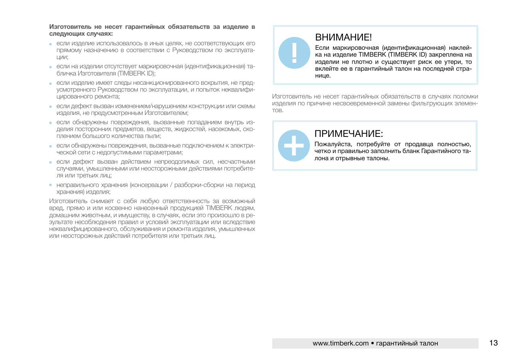**Изготовитель не несет гарантийных обязательств за изделие в следующих случаях:**

- если изделие использовалось в иных целях, не соответствующих его прямому назначению в соответствии с Руководством по эксплуатации;
- если на изделии отсутствует маркировочная (идентификационная) табличка Изготовителя (TIMBERK ID);
- если изделие имеет следы несанкционированного вскрытия, не предусмотренного Руководством по эксплуатации, и попыток неквалифицированного ремонта;
- если дефект вызван изменением/нарушением конструкции или схемы изделия, не предусмотренным Изготовителем;
- если обнаружены повреждения, вызванные попаданием внутрь изделия посторонних предметов, веществ, жидкостей, насекомых, скоплением большого количества пыли;
- если обнаружены повреждения, вызванные подключением к электрической сети с недопустимыми параметрами;
- если дефект вызван действием непреодолимых сил, несчастными случаями, умышленными или неосторожными действиями потребителя или третьих лиц;
- неправильного хранения (консервации / разборки-сборки на период хранения) изделия;

Изготовитель снимает с себя любую ответственность за возможный вред, прямо и или косвенно нанесенный продукцией TIMBERK людям, домашним животным, и имуществу, в случаях, если это произошло в результате несоблюдения правил и условий эксплуатации или вследствие неквалифицированного, обслуживания и ремонта изделия, умышленных или неосторожных действий потребителя или третьих лиц.



## ВНИМАНИЕ!

Если маркировочная (идентификационная) наклейка на изделие TIMBERK (TIMBERK ID) закреплена на изделии не плотно и существует риск ее утери, то вклейте ее в гарантийный талон на последней странице.

Изготовитель не несет гарантийных обязательств в случаях поломки изделия по причине несвоевременной замены фильтрующих элементов.



## ПРИМЕЧАНИЕ:

Пожалуйста, потребуйте от продавца полностью, четко и правильно заполнить бланк Гарантийного талона и отрывные талоны.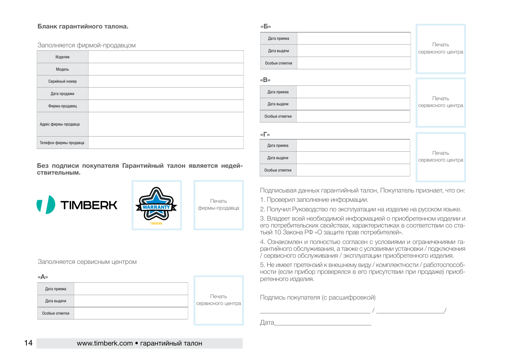#### **Бланк гарантийного талона.**

#### Заполняется фирмой-продавцом

| Изделие                |  |
|------------------------|--|
| Модель                 |  |
| Серийный номер         |  |
| Дата продажи           |  |
| Фирма-продавец         |  |
| Адрес фирмы продавца   |  |
| Телефон фирмы продавца |  |

**Без подписи покупателя Гарантийный талон является недействительным.**



#### Заполняется сервисным центром

#### **«А»**

| Дата приема    |                             |
|----------------|-----------------------------|
| Дата выдачи    | Печать<br>сервисного центра |
| Особые отметки |                             |

| «Б»            |                             |
|----------------|-----------------------------|
| Дата приема    | Печать                      |
| Дата выдачи    | сервисного центра           |
| Особые отметки |                             |
| «B»            |                             |
|                |                             |
| Дата приема    | Печать                      |
| Дата выдачи    | сервисного центра           |
| Особые отметки |                             |
|                |                             |
| «Г»            |                             |
| Дата приема    |                             |
| Дата выдачи    | Печать<br>сервисного центра |
| Особые отметки |                             |

Подписывая данных гарантийный талон, Покупатель признает, что он:

1. Проверил заполнение информации.

2. Получил Руководство по эксплуатации на изделие на русском языке.

3. Владеет всей необходимой информацией о приобретенном изделии и его потребительских свойствах, характеристиках в соответствии со статьей 10 Закона РФ «О защите прав потребителей».

4. Ознакомлен и полностью согласен с условиями и ограничениями гарантийного обслуживания, а также с условиями установки / подключения / сервисного обслуживания / эксплуатации приобретенного изделия.

5. Не имеет претензий к внешнему виду / комплектности / работоспособности (если прибор проверялся в его присутствии при продаже) приобретенного изделия.

Подпись покупателя (с расшифровкой)

\_\_\_\_\_\_\_\_\_\_\_\_\_\_\_\_\_\_\_\_\_\_\_\_\_\_\_\_\_\_\_\_\_\_ / \_\_\_\_\_\_\_\_\_\_\_\_\_\_\_\_\_\_\_\_\_/ Дата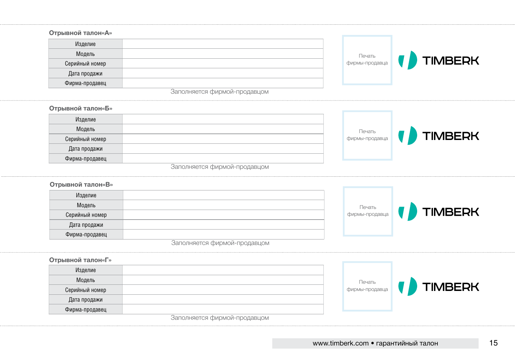#### **Отрывной талон«А»** Изделие Модель Печать **TIMBERK** фирмы-продавца Серийный номер Дата продажи Фирма-продавец Заполняется фирмой-продавцом **Отрывной талон«Б»** Изделие Модель Печать **TIMBERK** фирмы-продавца Серийный номер Дата продажи Фирма-продавец Заполняется фирмой-продавцом **Отрывной талон«В»** Изделие Модель Печать **TIMBERK** фирмы-продавца Серийный номер Дата продажи Фирма-продавец Заполняется фирмой-продавцом **Отрывной талон«Г»** Изделие Модель Печать **TIMBERK** фирмы-продавца Серийный номер Дата продажи Фирма-продавец

Заполняется фирмой-продавцом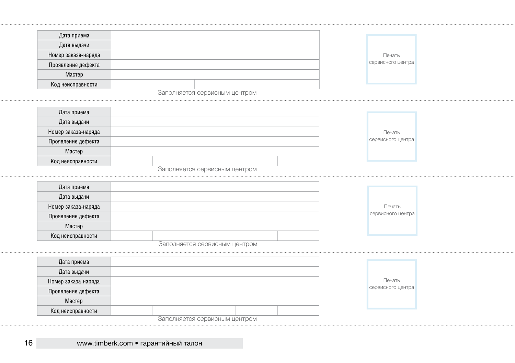| Дата приема         |  |                               |  |                   |
|---------------------|--|-------------------------------|--|-------------------|
| Дата выдачи         |  |                               |  |                   |
| Номер заказа-наряда |  |                               |  | Печать            |
| Проявление дефекта  |  |                               |  | сервисного центра |
| Мастер              |  |                               |  |                   |
| Код неисправности   |  |                               |  |                   |
|                     |  | Заполняется сервисным центром |  |                   |
|                     |  |                               |  |                   |
| Дата приема         |  |                               |  |                   |
| Дата выдачи         |  |                               |  |                   |
| Номер заказа-наряда |  |                               |  | Печать            |
| Проявление дефекта  |  |                               |  | сервисного центра |
|                     |  |                               |  |                   |

| Дата приема         |  |                               |  |                   |  |
|---------------------|--|-------------------------------|--|-------------------|--|
| Дата выдачи         |  |                               |  |                   |  |
| Номер заказа-наряда |  |                               |  | Печать            |  |
| Проявление дефекта  |  |                               |  | сервисного центра |  |
| Мастер              |  |                               |  |                   |  |
| Код неисправности   |  |                               |  |                   |  |
|                     |  | Заполняется сервисным центром |  |                   |  |

| Дата приема         |  |                                        |  |                   |
|---------------------|--|----------------------------------------|--|-------------------|
| Дата выдачи         |  |                                        |  |                   |
| Номер заказа-наряда |  |                                        |  | Печать            |
| Проявление дефекта  |  |                                        |  | сервисного центра |
| Мастер              |  |                                        |  |                   |
| Код неисправности   |  |                                        |  |                   |
|                     |  | <b>BOROBICOTOR COOPIACULUM UOUTOOM</b> |  |                   |

Заполняется сервисным центром

| Дата приема                   |  |  |  |  |  |  |                   |
|-------------------------------|--|--|--|--|--|--|-------------------|
| Дата выдачи                   |  |  |  |  |  |  |                   |
| Номер заказа-наряда           |  |  |  |  |  |  | Печать            |
| Проявление дефекта            |  |  |  |  |  |  | сервисного центра |
| Мастер                        |  |  |  |  |  |  |                   |
| Код неисправности             |  |  |  |  |  |  |                   |
| Заполняется сервисным центром |  |  |  |  |  |  |                   |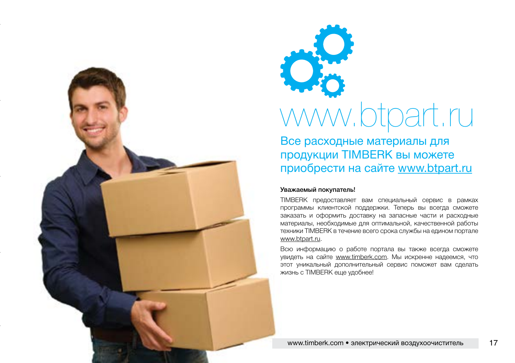



Все расходные материалы для продукции TIMBERK вы можете приобрести на сайте www.btpart.ru

#### Уважаемый покупатель!

TIMBERK предоставляет вам специальный сервис в рамках программы клиентской поддержки. Теперь вы всегда сможете заказать и оформить доставку на запасные части и расходные материалы, необходимые для оптимальной, качественной работы техники TIMBERK в течение всего срока службы на едином портале www.btpart.ru.

Всю информацию о работе портала вы также всегда сможете увидеть на сайте www.timberk.com. Мы искренне надеемся, что этот уникальный дополнительный сервис поможет вам сделать жизнь с TIMBERK еще удобнее!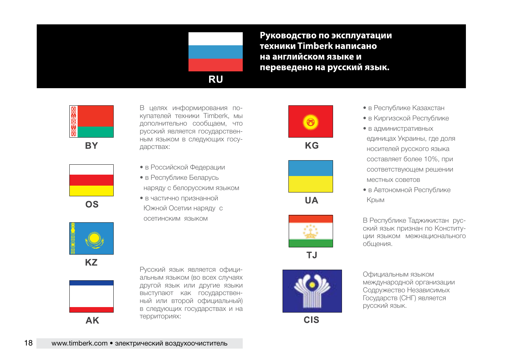

Руководство по эксплуатации техники Timberk написано на английском языке и переведено на русский язык.



**BY** 



купателей техники Timberk, мы дополнительно сообщаем, что русский является государствен ным языком в следующих госу дарствах:

В целях информирования по -

- в Российской Федерации
- в Республике Беларусь наряду с белорусским языком
- в частично признанной Южной Осетии наряду с осетинским языком



 $KG$ 



**UA** 



**TJ** 



**CIS** 

- в Республике Казахстан
- в Киргизской Республике
- в административных единицах Украины, где доля носителей русского языка cоставляет более 10%, при соответствующем решении местных советов
- в Автономной Республике Крым

В Республике Таджикистан рус ский язык признан по Конститу ции языком межнационального общения.

Официальным языком международной организации Содружество Независимых Государств (СНГ) является русский язык.



**KZ** 



Русский язык является офици альным языком (во всех случаях другой язык или другие языки выступают как государствен ный или второй официальный) в следующих государствах и на территориях: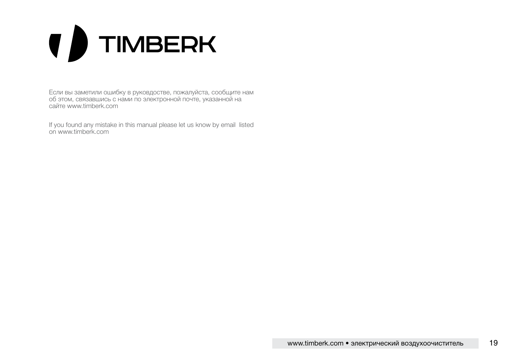# **( )** TIMBERK

Если вы заметили ошибку в руковдостве, пожалуйста, сообщите нам об этом, связавшись с нами по электронной почте, указанной на сайте www.timberk.com

If you found any mistake in this manual please let us know by email listed on www.timberk.com